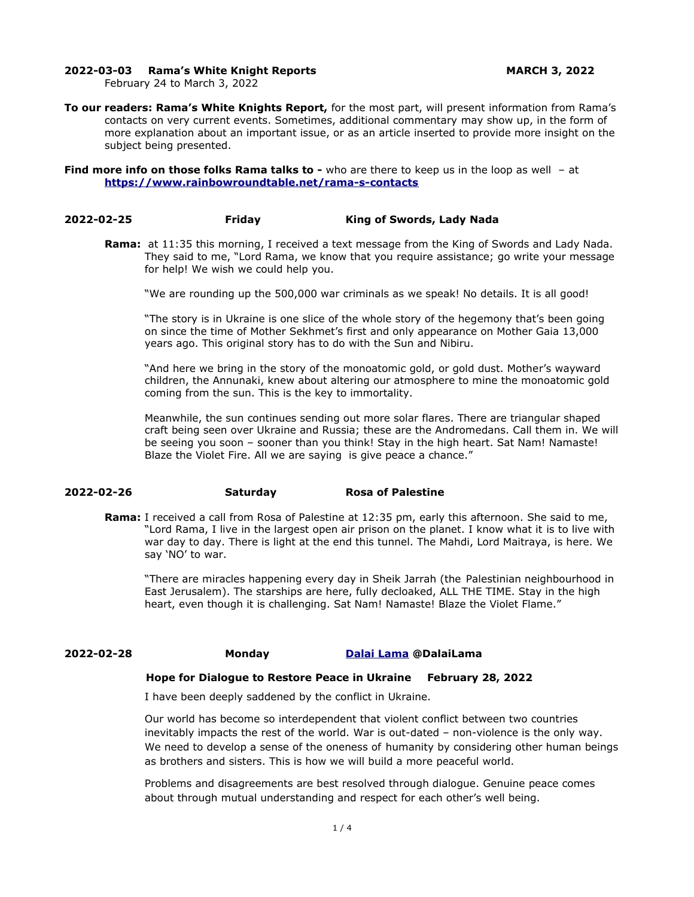#### **2022-03-03 Rama's White Knight Reports MARCH 3, 2022**

February 24 to March 3, 2022

**To our readers: Rama's White Knights Report,** for the most part, will present information from Rama's contacts on very current events. Sometimes, additional commentary may show up, in the form of more explanation about an important issue, or as an article inserted to provide more insight on the subject being presented.

**Find more info on those folks Rama talks to -** who are there to keep us in the loop as well - at **<https://www.rainbowroundtable.net/rama-s-contacts>**

#### **2022-02-25 Friday King of Swords, Lady Nada**

**Rama:** at 11:35 this morning, I received a text message from the King of Swords and Lady Nada. They said to me, "Lord Rama, we know that you require assistance; go write your message for help! We wish we could help you.

"We are rounding up the 500,000 war criminals as we speak! No details. It is all good!

"The story is in Ukraine is one slice of the whole story of the hegemony that's been going on since the time of Mother Sekhmet's first and only appearance on Mother Gaia 13,000 years ago. This original story has to do with the Sun and Nibiru.

"And here we bring in the story of the monoatomic gold, or gold dust. Mother's wayward children, the Annunaki, knew about altering our atmosphere to mine the monoatomic gold coming from the sun. This is the key to immortality.

Meanwhile, the sun continues sending out more solar flares. There are triangular shaped craft being seen over Ukraine and Russia; these are the Andromedans. Call them in. We will be seeing you soon – sooner than you think! Stay in the high heart. Sat Nam! Namaste! Blaze the Violet Fire. All we are saying is give peace a chance."

## **2022-02-26 Saturday Rosa of Palestine**

**Rama:** I received a call from Rosa of Palestine at 12:35 pm, early this afternoon. She said to me, "Lord Rama, I live in the largest open air prison on the planet. I know what it is to live with war day to day. There is light at the end this tunnel. The Mahdi, Lord Maitraya, is here. We say 'NO' to war.

"There are miracles happening every day in Sheik Jarrah (the Palestinian neighbourhood in East Jerusalem). The starships are here, fully decloaked, ALL THE TIME. Stay in the high heart, even though it is challenging. Sat Nam! Namaste! Blaze the Violet Flame."

**2022-02-28 Monday [Dalai Lama](https://twitter.com/DalaiLama) @DalaiLama**

#### **Hope for Dialogue to Restore Peace in Ukraine February 28, 2022**

I have been deeply saddened by the conflict in Ukraine.

Our world has become so interdependent that violent conflict between two countries inevitably impacts the rest of the world. War is out-dated – non-violence is the only way. We need to develop a sense of the oneness of humanity by considering other human beings as brothers and sisters. This is how we will build a more peaceful world.

Problems and disagreements are best resolved through dialogue. Genuine peace comes about through mutual understanding and respect for each other's well being.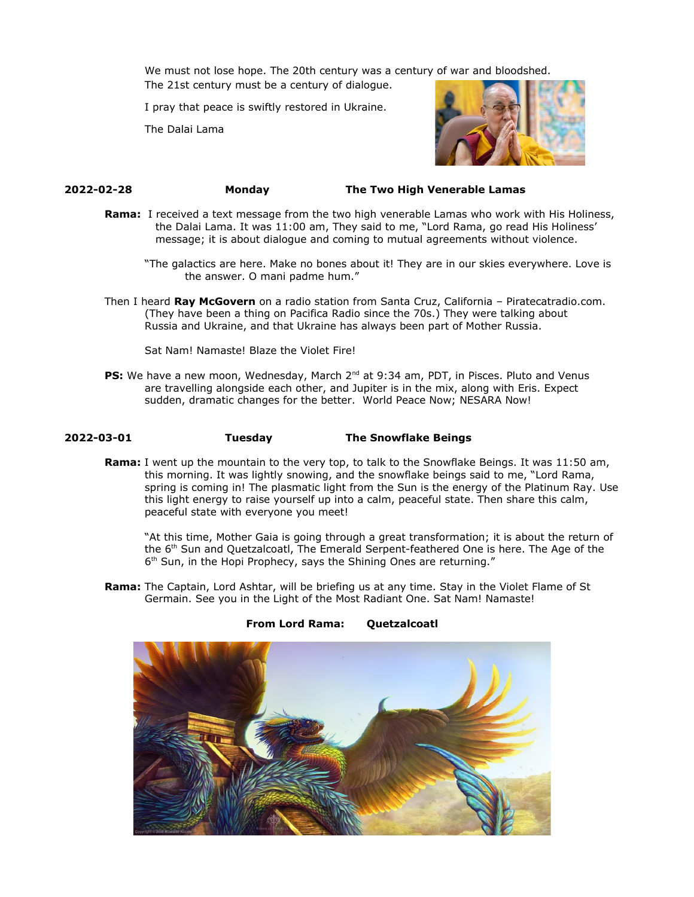We must not lose hope. The 20th century was a century of war and bloodshed. The 21st century must be a century of dialogue.

I pray that peace is swiftly restored in Ukraine.

The Dalai Lama



## **2022-02-28 Monday The Two High Venerable Lamas**

- **Rama:** I received a text message from the two high venerable Lamas who work with His Holiness, the Dalai Lama. It was 11:00 am, They said to me, "Lord Rama, go read His Holiness' message; it is about dialogue and coming to mutual agreements without violence.
	- "The galactics are here. Make no bones about it! They are in our skies everywhere. Love is the answer. O mani padme hum."
- Then I heard **Ray McGovern** on a radio station from Santa Cruz, California Piratecatradio.com. (They have been a thing on Pacifica Radio since the 70s.) They were talking about Russia and Ukraine, and that Ukraine has always been part of Mother Russia.

Sat Nam! Namaste! Blaze the Violet Fire!

**PS:** We have a new moon, Wednesday, March 2<sup>nd</sup> at 9:34 am, PDT, in Pisces. Pluto and Venus are travelling alongside each other, and Jupiter is in the mix, along with Eris. Expect sudden, dramatic changes for the better. World Peace Now; NESARA Now!

## **2022-03-01 Tuesday The Snowflake Beings**

**Rama:** I went up the mountain to the very top, to talk to the Snowflake Beings. It was 11:50 am, this morning. It was lightly snowing, and the snowflake beings said to me, "Lord Rama, spring is coming in! The plasmatic light from the Sun is the energy of the Platinum Ray. Use this light energy to raise yourself up into a calm, peaceful state. Then share this calm, peaceful state with everyone you meet!

"At this time, Mother Gaia is going through a great transformation; it is about the return of the 6<sup>th</sup> Sun and Quetzalcoatl, The Emerald Serpent-feathered One is here. The Age of the 6<sup>th</sup> Sun, in the Hopi Prophecy, says the Shining Ones are returning."

**Rama:** The Captain, Lord Ashtar, will be briefing us at any time. Stay in the Violet Flame of St Germain. See you in the Light of the Most Radiant One. Sat Nam! Namaste!



#### **From Lord Rama: Quetzalcoatl**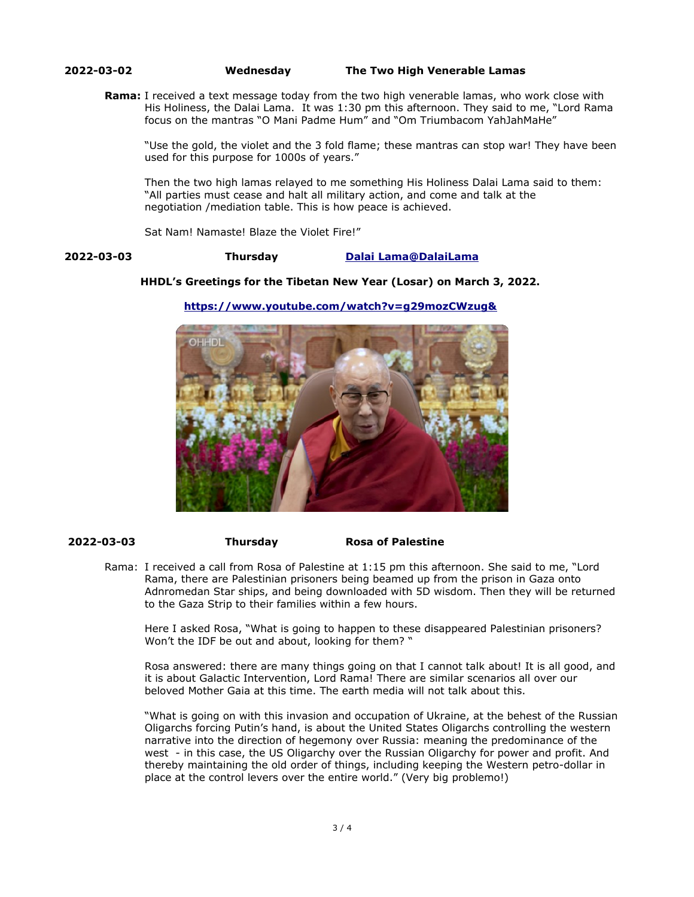## **2022-03-02 Wednesday The Two High Venerable Lamas**

**Rama:** I received a text message today from the two high venerable lamas, who work close with His Holiness, the Dalai Lama. It was 1:30 pm this afternoon. They said to me, "Lord Rama focus on the mantras "O Mani Padme Hum" and "Om Triumbacom YahJahMaHe"

"Use the gold, the violet and the 3 fold flame; these mantras can stop war! They have been used for this purpose for 1000s of years."

Then the two high lamas relayed to me something His Holiness Dalai Lama said to them: "All parties must cease and halt all military action, and come and talk at the negotiation /mediation table. This is how peace is achieved.

Sat Nam! Namaste! Blaze the Violet Fire!"

## **2022-03-03 Thursday [Dalai](https://twitter.com/DalaiLama) [Lama@DalaiLama](mailto:Lama@DalaiLama)**

#### **HHDL's Greetings for the Tibetan New Year (Losar) on March 3, 2022.**



**<https://www.youtube.com/watch?v=g29mozCWzug&>**

 **2022-03-03 Thursday Rosa of Palestine**

Rama: I received a call from Rosa of Palestine at 1:15 pm this afternoon. She said to me, "Lord Rama, there are Palestinian prisoners being beamed up from the prison in Gaza onto Adnromedan Star ships, and being downloaded with 5D wisdom. Then they will be returned to the Gaza Strip to their families within a few hours.

Here I asked Rosa, "What is going to happen to these disappeared Palestinian prisoners? Won't the IDF be out and about, looking for them? "

Rosa answered: there are many things going on that I cannot talk about! It is all good, and it is about Galactic Intervention, Lord Rama! There are similar scenarios all over our beloved Mother Gaia at this time. The earth media will not talk about this.

"What is going on with this invasion and occupation of Ukraine, at the behest of the Russian Oligarchs forcing Putin's hand, is about the United States Oligarchs controlling the western narrative into the direction of hegemony over Russia: meaning the predominance of the west - in this case, the US Oligarchy over the Russian Oligarchy for power and profit. And thereby maintaining the old order of things, including keeping the Western petro-dollar in place at the control levers over the entire world." (Very big problemo!)